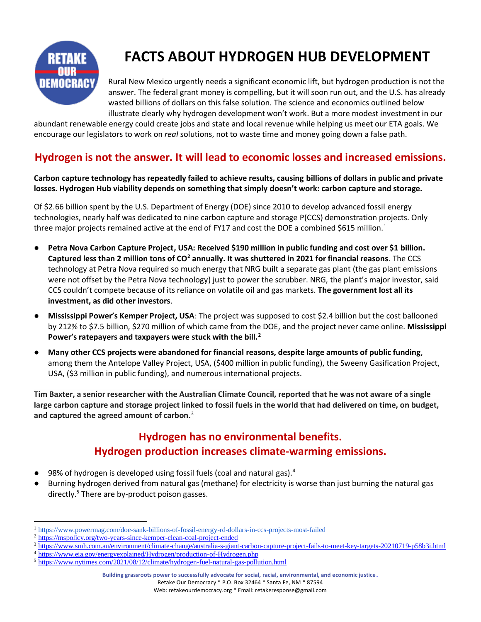

# **FACTS ABOUT HYDROGEN HUB DEVELOPMENT**

Rural New Mexico urgently needs a significant economic lift, but hydrogen production is not the answer. The federal grant money is compelling, but it will soon run out, and the U.S. has already wasted billions of dollars on this false solution. The science and economics outlined below illustrate clearly why hydrogen development won't work. But a more modest investment in our

abundant renewable energy could create jobs and state and local revenue while helping us meet our ETA goals. We encourage our legislators to work on *real* solutions, not to waste time and money going down a false path.

#### **Hydrogen is not the answer. It will lead to economic losses and increased emissions.**

#### **Carbon capture technology has repeatedly failed to achieve results, causing billions of dollars in public and private losses. Hydrogen Hub viability depends on something that simply doesn't work: carbon capture and storage.**

Of \$2.66 billion spent by the U.S. Department of Energy (DOE) since 2010 to develop advanced fossil energy technologies, nearly half was dedicated to nine carbon capture and storage P(CCS) demonstration projects. Only three major projects remained active at the end of FY17 and cost the DOE a combined \$615 million.<sup>1</sup>

- **[Petra Nova Carbon Capture Project,](https://map.geoengineeringmonitor.org/ggr/petra-nova-carbon-capture) USA: Received \$190 million in public funding and cost over \$1 billion. Captured less than 2 million tons of CO<sup>2</sup> annually. It was shuttered in 2021 for financial reasons**. The CCS technology at Petra Nova required so much energy that NRG built a separate gas plant (the gas plant emissions were not offset by the Petra Nova technology) just to power the scrubber. NRG, the plant's major investor, said CCS couldn't compete because of its reliance on volatile oil and gas markets. **The government lost all its investment, as did other investors**.
- **Mississippi Power's Kemper Project, USA:** The project was supposed to cost \$2.4 billion but the cost ballooned by 212% to \$7.5 billion, \$270 million of which came from the DOE, and the project never came online. **Mississippi Power's ratepayers and taxpayers were stuck with the bill.<sup>2</sup>**
- **Many other CCS projects were abandoned for financial reasons, despite large amounts of public funding**, among them the [Antelope Valley Project,](https://map.geoengineeringmonitor.org/ggr/antelope-valley-project) USA, (\$400 million in public funding), the [Sweeny Gasification Project,](https://map.geoengineeringmonitor.org/ggr/sweeny-gasification-project) USA, (\$3 million in public funding), and numerous international projects.

**Tim Baxter, a senior researcher with the Australian Climate Council, reported that he was not aware of a single large carbon capture and storage project linked to fossil fuels in the world that had delivered on time, on budget, and captured the agreed amount of carbon.**<sup>3</sup>

### **Hydrogen has no environmental benefits. Hydrogen production increases climate-warming emissions.**

- 98% of hydrogen is developed using fossil fuels (coal and natural gas).<sup>4</sup>
- Burning hydrogen derived from natural gas (methane) for electricity is worse than just burning the natural gas directly.<sup>5</sup> There are by-product poison gasses.

Retake Our Democracy \* P.O. Box 32464 \* Santa Fe, NM \* 87594

Web: retakeourdemocracy.org \* Email: retakeresponse@gmail.com

<sup>1</sup> [https://www.powermag.com/doe-sank-billions-of-fossil-energy-rd-dollars-in-ccs-projects-most-failed](https://www.powermag.com/doe-sank-billions-of-fossil-energy-rd-dollars-in-ccs-projects-most-failed/)

<sup>&</sup>lt;sup>2</sup> [https://mspolicy.org/two-years-since-kemper-clean-coal-project-ended](https://mspolicy.org/two-years-since-kemper-clean-coal-project-ended/)

<sup>3</sup> <https://www.smh.com.au/environment/climate-change/australia-s-giant-carbon-capture-project-fails-to-meet-key-targets-20210719-p58b3i.html>

<sup>4</sup> <https://www.eia.gov/energyexplained/Hydrogen/production-of-Hydrogen.php>

<sup>5</sup> <https://www.nytimes.com/2021/08/12/climate/hydrogen-fuel-natural-gas-pollution.html>

**Building grassroots power to successfully advocate for social, racial, environmental, and economic justice.**